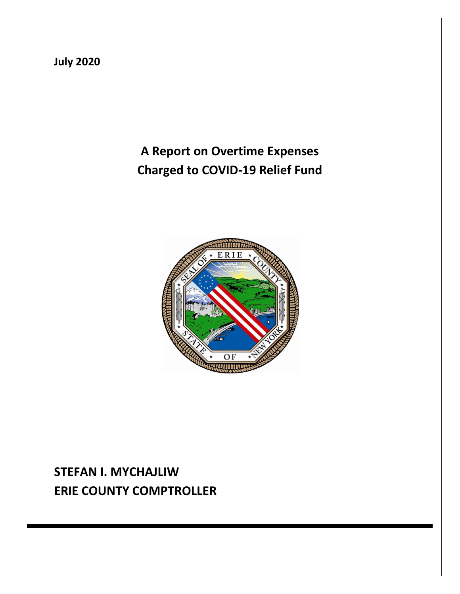

# **A Report on Overtime Expenses Charged to COVID-19 Relief Fund**



## **STEFAN I. MYCHAJLIW ERIE COUNTY COMPTROLLER**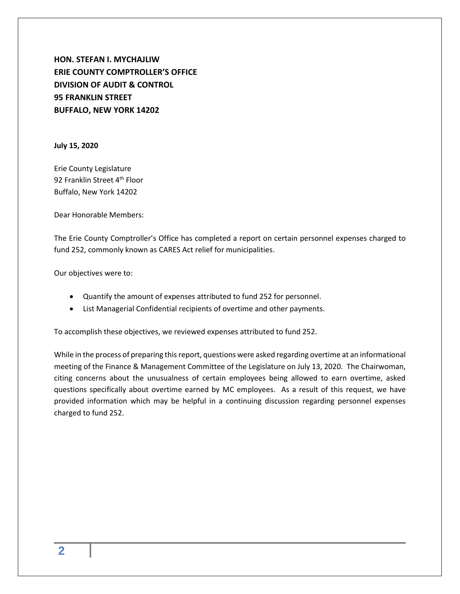**HON. STEFAN I. MYCHAJLIW ERIE COUNTY COMPTROLLER'S OFFICE DIVISION OF AUDIT & CONTROL 95 FRANKLIN STREET BUFFALO, NEW YORK 14202**

**July 15, 2020**

Erie County Legislature 92 Franklin Street 4<sup>th</sup> Floor Buffalo, New York 14202

Dear Honorable Members:

The Erie County Comptroller's Office has completed a report on certain personnel expenses charged to fund 252, commonly known as CARES Act relief for municipalities.

Our objectives were to:

- Quantify the amount of expenses attributed to fund 252 for personnel.
- List Managerial Confidential recipients of overtime and other payments.

To accomplish these objectives, we reviewed expenses attributed to fund 252.

While in the process of preparing this report, questions were asked regarding overtime at an informational meeting of the Finance & Management Committee of the Legislature on July 13, 2020. The Chairwoman, citing concerns about the unusualness of certain employees being allowed to earn overtime, asked questions specifically about overtime earned by MC employees. As a result of this request, we have provided information which may be helpful in a continuing discussion regarding personnel expenses charged to fund 252.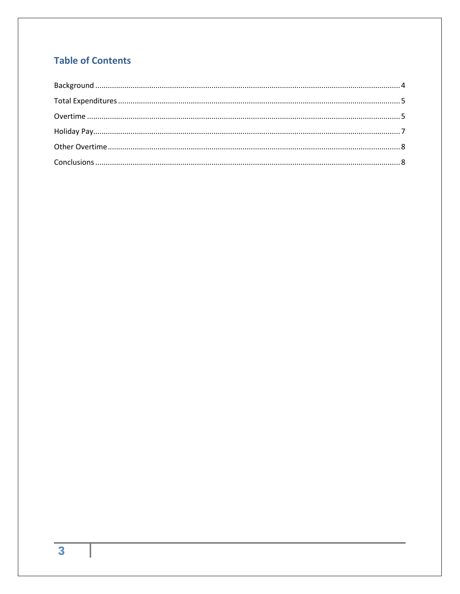### **Table of Contents**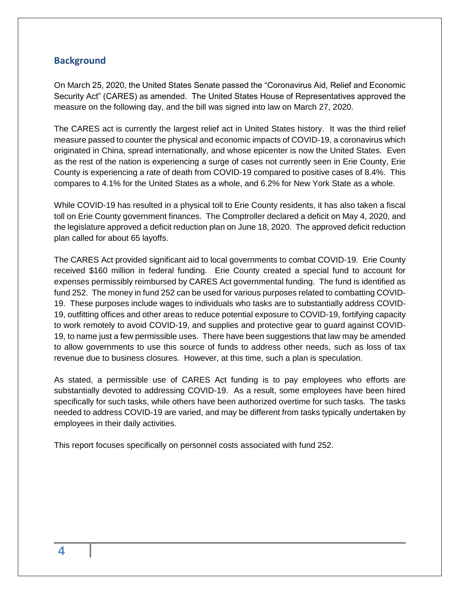#### <span id="page-3-0"></span>**Background**

On March 25, 2020, the United States Senate passed the "Coronavirus Aid, Relief and Economic Security Act" (CARES) as amended. The United States House of Representatives approved the measure on the following day, and the bill was signed into law on March 27, 2020.

The CARES act is currently the largest relief act in United States history. It was the third relief measure passed to counter the physical and economic impacts of COVID-19, a coronavirus which originated in China, spread internationally, and whose epicenter is now the United States. Even as the rest of the nation is experiencing a surge of cases not currently seen in Erie County, Erie County is experiencing a rate of death from COVID-19 compared to positive cases of 8.4%. This compares to 4.1% for the United States as a whole, and 6.2% for New York State as a whole.

While COVID-19 has resulted in a physical toll to Erie County residents, it has also taken a fiscal toll on Erie County government finances. The Comptroller declared a deficit on May 4, 2020, and the legislature approved a deficit reduction plan on June 18, 2020. The approved deficit reduction plan called for about 65 layoffs.

The CARES Act provided significant aid to local governments to combat COVID-19. Erie County received \$160 million in federal funding. Erie County created a special fund to account for expenses permissibly reimbursed by CARES Act governmental funding. The fund is identified as fund 252. The money in fund 252 can be used for various purposes related to combatting COVID-19. These purposes include wages to individuals who tasks are to substantially address COVID-19, outfitting offices and other areas to reduce potential exposure to COVID-19, fortifying capacity to work remotely to avoid COVID-19, and supplies and protective gear to guard against COVID-19, to name just a few permissible uses. There have been suggestions that law may be amended to allow governments to use this source of funds to address other needs, such as loss of tax revenue due to business closures. However, at this time, such a plan is speculation.

As stated, a permissible use of CARES Act funding is to pay employees who efforts are substantially devoted to addressing COVID-19. As a result, some employees have been hired specifically for such tasks, while others have been authorized overtime for such tasks. The tasks needed to address COVID-19 are varied, and may be different from tasks typically undertaken by employees in their daily activities.

This report focuses specifically on personnel costs associated with fund 252.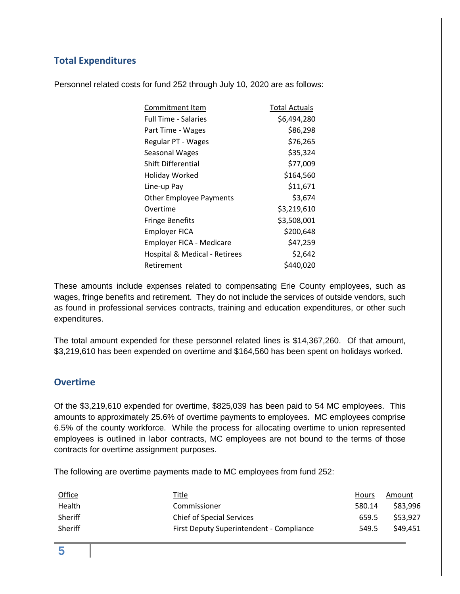#### <span id="page-4-0"></span>**Total Expenditures**

Personnel related costs for fund 252 through July 10, 2020 are as follows:

| Commitment Item                 | Total Actuals |
|---------------------------------|---------------|
| <b>Full Time - Salaries</b>     | \$6,494,280   |
| Part Time - Wages               | \$86,298      |
| Regular PT - Wages              | \$76,265      |
| Seasonal Wages                  | \$35,324      |
| Shift Differential              | \$77,009      |
| Holiday Worked                  | \$164,560     |
| Line-up Pay                     | \$11,671      |
| <b>Other Employee Payments</b>  | \$3,674       |
| Overtime                        | \$3,219,610   |
| <b>Fringe Benefits</b>          | \$3,508,001   |
| <b>Employer FICA</b>            | \$200,648     |
| <b>Employer FICA - Medicare</b> | \$47,259      |
| Hospital & Medical - Retirees   | \$2,642       |
| Retirement                      | \$440,020     |

These amounts include expenses related to compensating Erie County employees, such as wages, fringe benefits and retirement. They do not include the services of outside vendors, such as found in professional services contracts, training and education expenditures, or other such expenditures.

The total amount expended for these personnel related lines is \$14,367,260. Of that amount, \$3,219,610 has been expended on overtime and \$164,560 has been spent on holidays worked.

#### <span id="page-4-1"></span>**Overtime**

Of the \$3,219,610 expended for overtime, \$825,039 has been paid to 54 MC employees. This amounts to approximately 25.6% of overtime payments to employees. MC employees comprise 6.5% of the county workforce. While the process for allocating overtime to union represented employees is outlined in labor contracts, MC employees are not bound to the terms of those contracts for overtime assignment purposes.

The following are overtime payments made to MC employees from fund 252:

| <b>Office</b> | <u>Title</u>                             | <b>Hours</b> | Amount   |
|---------------|------------------------------------------|--------------|----------|
| Health        | Commissioner                             | 580.14       | \$83,996 |
| Sheriff       | <b>Chief of Special Services</b>         | 659.5        | \$53.927 |
| Sheriff       | First Deputy Superintendent - Compliance | 549.5        | \$49.451 |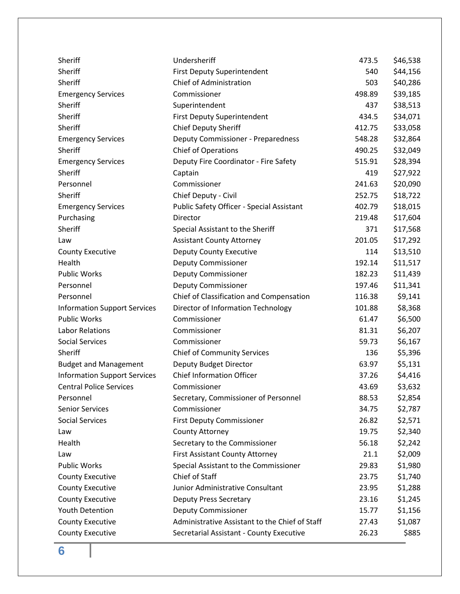| Sheriff                             | Undersheriff                                     | 473.5  | \$46,538 |
|-------------------------------------|--------------------------------------------------|--------|----------|
| Sheriff                             | First Deputy Superintendent                      | 540    | \$44,156 |
| Sheriff                             | <b>Chief of Administration</b>                   | 503    | \$40,286 |
| <b>Emergency Services</b>           | Commissioner                                     | 498.89 | \$39,185 |
| Sheriff                             | Superintendent                                   | 437    | \$38,513 |
| Sheriff                             | <b>First Deputy Superintendent</b>               | 434.5  | \$34,071 |
| Sheriff                             | <b>Chief Deputy Sheriff</b>                      | 412.75 | \$33,058 |
| <b>Emergency Services</b>           | Deputy Commissioner - Preparedness               | 548.28 | \$32,864 |
| Sheriff                             | <b>Chief of Operations</b>                       | 490.25 | \$32,049 |
| <b>Emergency Services</b>           | Deputy Fire Coordinator - Fire Safety            | 515.91 | \$28,394 |
| Sheriff                             | Captain                                          | 419    | \$27,922 |
| Personnel                           | Commissioner                                     | 241.63 | \$20,090 |
| Sheriff                             | Chief Deputy - Civil                             | 252.75 | \$18,722 |
| <b>Emergency Services</b>           | <b>Public Safety Officer - Special Assistant</b> | 402.79 | \$18,015 |
| Purchasing                          | <b>Director</b>                                  | 219.48 | \$17,604 |
| Sheriff                             | Special Assistant to the Sheriff                 | 371    | \$17,568 |
| Law                                 | <b>Assistant County Attorney</b>                 | 201.05 | \$17,292 |
| <b>County Executive</b>             | Deputy County Executive                          | 114    | \$13,510 |
| Health                              | <b>Deputy Commissioner</b>                       | 192.14 | \$11,517 |
| <b>Public Works</b>                 | <b>Deputy Commissioner</b>                       | 182.23 | \$11,439 |
| Personnel                           | <b>Deputy Commissioner</b>                       | 197.46 | \$11,341 |
| Personnel                           | Chief of Classification and Compensation         | 116.38 | \$9,141  |
| <b>Information Support Services</b> | Director of Information Technology               | 101.88 | \$8,368  |
| <b>Public Works</b>                 | Commissioner                                     | 61.47  | \$6,500  |
| <b>Labor Relations</b>              | Commissioner                                     | 81.31  | \$6,207  |
| <b>Social Services</b>              | Commissioner                                     | 59.73  | \$6,167  |
| Sheriff                             | <b>Chief of Community Services</b>               | 136    | \$5,396  |
| <b>Budget and Management</b>        | Deputy Budget Director                           | 63.97  | \$5,131  |
| <b>Information Support Services</b> | <b>Chief Information Officer</b>                 | 37.26  | \$4,416  |
| <b>Central Police Services</b>      | Commissioner                                     | 43.69  | \$3,632  |
| Personnel                           | Secretary, Commissioner of Personnel             | 88.53  | \$2,854  |
| <b>Senior Services</b>              | Commissioner                                     | 34.75  | \$2,787  |
| <b>Social Services</b>              | <b>First Deputy Commissioner</b>                 | 26.82  | \$2,571  |
| Law                                 | <b>County Attorney</b>                           | 19.75  | \$2,340  |
| Health                              | Secretary to the Commissioner                    | 56.18  | \$2,242  |
| Law                                 | <b>First Assistant County Attorney</b>           | 21.1   | \$2,009  |
| Public Works                        | Special Assistant to the Commissioner            | 29.83  | \$1,980  |
| <b>County Executive</b>             | Chief of Staff                                   | 23.75  | \$1,740  |
| <b>County Executive</b>             | Junior Administrative Consultant                 | 23.95  | \$1,288  |
| <b>County Executive</b>             | <b>Deputy Press Secretary</b>                    | 23.16  | \$1,245  |
| <b>Youth Detention</b>              | <b>Deputy Commissioner</b>                       | 15.77  | \$1,156  |
| <b>County Executive</b>             | Administrative Assistant to the Chief of Staff   | 27.43  | \$1,087  |
| <b>County Executive</b>             | Secretarial Assistant - County Executive         | 26.23  | \$885    |

**6**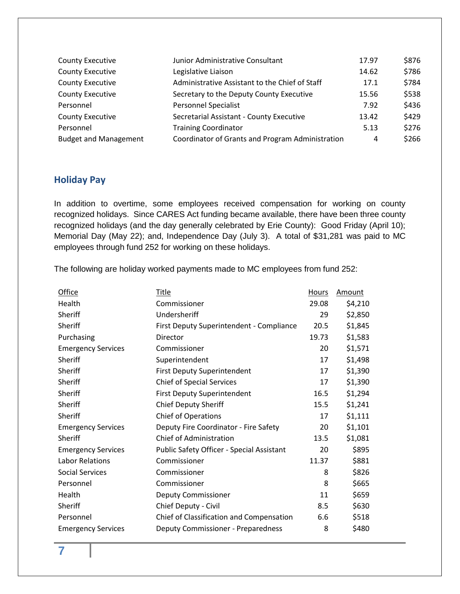| <b>County Executive</b>      | Junior Administrative Consultant                 | 17.97 | \$876 |
|------------------------------|--------------------------------------------------|-------|-------|
| <b>County Executive</b>      | Legislative Liaison                              | 14.62 | \$786 |
| <b>County Executive</b>      | Administrative Assistant to the Chief of Staff   | 17.1  | \$784 |
| <b>County Executive</b>      | Secretary to the Deputy County Executive         | 15.56 | \$538 |
| Personnel                    | <b>Personnel Specialist</b>                      | 7.92  | \$436 |
| <b>County Executive</b>      | Secretarial Assistant - County Executive         | 13.42 | \$429 |
| Personnel                    | <b>Training Coordinator</b>                      | 5.13  | \$276 |
| <b>Budget and Management</b> | Coordinator of Grants and Program Administration | 4     | \$266 |

#### <span id="page-6-0"></span>**Holiday Pay**

In addition to overtime, some employees received compensation for working on county recognized holidays. Since CARES Act funding became available, there have been three county recognized holidays (and the day generally celebrated by Erie County): Good Friday (April 10); Memorial Day (May 22); and, Independence Day (July 3). A total of \$31,281 was paid to MC employees through fund 252 for working on these holidays.

The following are holiday worked payments made to MC employees from fund 252:

| Office                    | Title                                            | Hours | Amount  |
|---------------------------|--------------------------------------------------|-------|---------|
| Health                    | Commissioner                                     | 29.08 | \$4,210 |
| Sheriff                   | Undersheriff                                     | 29    | \$2,850 |
| Sheriff                   | First Deputy Superintendent - Compliance         | 20.5  | \$1,845 |
| Purchasing                | Director                                         | 19.73 | \$1,583 |
| <b>Emergency Services</b> | Commissioner                                     | 20    | \$1,571 |
| Sheriff                   | Superintendent                                   | 17    | \$1,498 |
| Sheriff                   | <b>First Deputy Superintendent</b>               | 17    | \$1,390 |
| Sheriff                   | <b>Chief of Special Services</b>                 | 17    | \$1,390 |
| Sheriff                   | <b>First Deputy Superintendent</b>               | 16.5  | \$1,294 |
| Sheriff                   | <b>Chief Deputy Sheriff</b>                      | 15.5  | \$1,241 |
| Sheriff                   | Chief of Operations                              | 17    | \$1,111 |
| <b>Emergency Services</b> | Deputy Fire Coordinator - Fire Safety            | 20    | \$1,101 |
| Sheriff                   | <b>Chief of Administration</b>                   | 13.5  | \$1,081 |
| <b>Emergency Services</b> | <b>Public Safety Officer - Special Assistant</b> | 20    | \$895   |
| <b>Labor Relations</b>    | Commissioner                                     | 11.37 | \$881   |
| <b>Social Services</b>    | Commissioner                                     | 8     | \$826   |
| Personnel                 | Commissioner                                     | 8     | \$665   |
| Health                    | <b>Deputy Commissioner</b>                       | 11    | \$659   |
| Sheriff                   | Chief Deputy - Civil                             | 8.5   | \$630   |
| Personnel                 | Chief of Classification and Compensation         | 6.6   | \$518   |
| <b>Emergency Services</b> | Deputy Commissioner - Preparedness               | 8     | \$480   |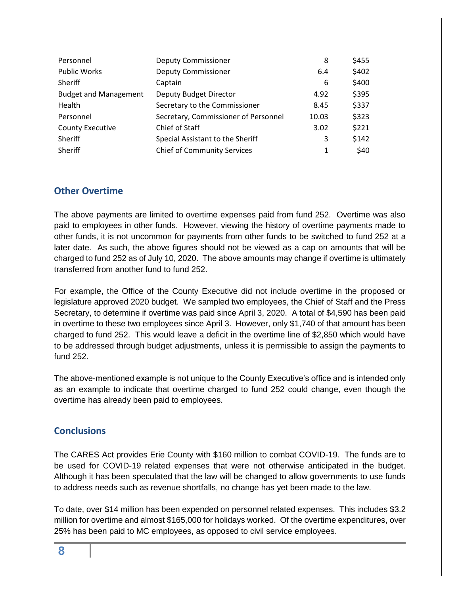| Personnel                    | <b>Deputy Commissioner</b>           | 8     | \$455 |
|------------------------------|--------------------------------------|-------|-------|
| <b>Public Works</b>          | <b>Deputy Commissioner</b>           | 6.4   | \$402 |
| Sheriff                      | Captain                              | 6     | \$400 |
| <b>Budget and Management</b> | Deputy Budget Director               | 4.92  | \$395 |
| Health                       | Secretary to the Commissioner        | 8.45  | \$337 |
| Personnel                    | Secretary, Commissioner of Personnel | 10.03 | \$323 |
| <b>County Executive</b>      | Chief of Staff                       | 3.02  | \$221 |
| Sheriff                      | Special Assistant to the Sheriff     | 3     | \$142 |
| Sheriff                      | <b>Chief of Community Services</b>   | 1     | \$40  |

#### <span id="page-7-0"></span>**Other Overtime**

The above payments are limited to overtime expenses paid from fund 252. Overtime was also paid to employees in other funds. However, viewing the history of overtime payments made to other funds, it is not uncommon for payments from other funds to be switched to fund 252 at a later date. As such, the above figures should not be viewed as a cap on amounts that will be charged to fund 252 as of July 10, 2020. The above amounts may change if overtime is ultimately transferred from another fund to fund 252.

For example, the Office of the County Executive did not include overtime in the proposed or legislature approved 2020 budget. We sampled two employees, the Chief of Staff and the Press Secretary, to determine if overtime was paid since April 3, 2020. A total of \$4,590 has been paid in overtime to these two employees since April 3. However, only \$1,740 of that amount has been charged to fund 252. This would leave a deficit in the overtime line of \$2,850 which would have to be addressed through budget adjustments, unless it is permissible to assign the payments to fund 252.

The above-mentioned example is not unique to the County Executive's office and is intended only as an example to indicate that overtime charged to fund 252 could change, even though the overtime has already been paid to employees.

#### <span id="page-7-1"></span>**Conclusions**

The CARES Act provides Erie County with \$160 million to combat COVID-19. The funds are to be used for COVID-19 related expenses that were not otherwise anticipated in the budget. Although it has been speculated that the law will be changed to allow governments to use funds to address needs such as revenue shortfalls, no change has yet been made to the law.

To date, over \$14 million has been expended on personnel related expenses. This includes \$3.2 million for overtime and almost \$165,000 for holidays worked. Of the overtime expenditures, over 25% has been paid to MC employees, as opposed to civil service employees.